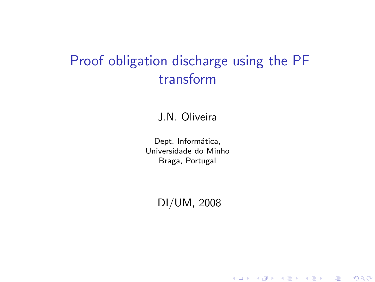## Proof obligation discharge using the PF transform

#### J.N. Oliveira

Dept. Informática, Universidade do Minho Braga, Portugal

<span id="page-0-0"></span>DI/UM, 2008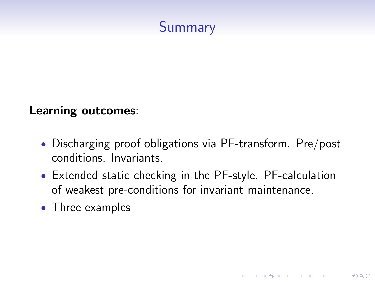

#### Learning outcomes:

- Discharging proof obligations via PF-transform. Pre/post conditions. Invariants.
- Extended static checking in the PF-style. PF-calculation of weakest pre-conditions for invariant maintenance.

K ロ ▶ K @ ▶ K 할 > K 할 > 1 할 > 1 이익어

• Three examples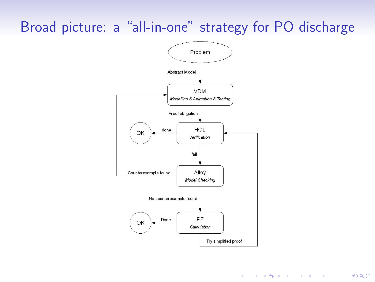## <span id="page-2-0"></span>Broad picture: a "all-in-one" strategy for PO discharge



**YO A REAR SHOP A BY A GAR**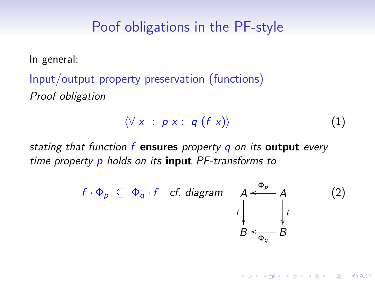#### Poof obligations in the PF-style

In general:

Input/output property preservation (functions) Proof obligation

$$
\langle \forall x : p x : q (f x) \rangle \tag{1}
$$

<span id="page-3-0"></span>**YO A REAR SHOP A BY A GAR** 

stating that function  $f$  ensures property  $q$  on its output every time property p holds on its **input** PF-transforms to

$$
f \cdot \Phi_p \subseteq \Phi_q \cdot f \quad cf. \ \text{diagram} \quad A \xleftarrow{ \Phi_p} A \qquad (2)
$$
\n
$$
B \xleftarrow{\Phi_p} B
$$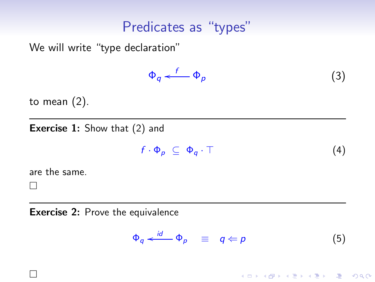#### Predicates as "types"

We will write "type declaration"

<span id="page-4-0"></span>
$$
\Phi_q \stackrel{f}{\longleftarrow} \Phi_p \tag{3}
$$

to mean [\(2\)](#page-3-0).

**Exercise 1:** Show that [\(2\)](#page-3-0) and

<span id="page-4-1"></span>
$$
f \cdot \Phi_p \subseteq \Phi_q \cdot \top \tag{4}
$$

are the same.

 $\Box$ 

 $\Box$ 

Exercise 2: Prove the equivalence

<span id="page-4-2"></span>
$$
\Phi_q \xleftarrow{id} \Phi_p \equiv q \Leftarrow p \tag{5}
$$

K ロ ▶ K @ ▶ K 할 > K 할 > 1 할 > 1 이익어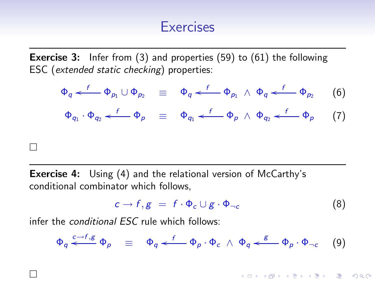#### <span id="page-5-2"></span><span id="page-5-0"></span>**Exercises**

**Exercise 3:** Infer from [\(3\)](#page-4-0) and properties [\(59\)](#page-44-0) to [\(61\)](#page-44-1) the following ESC (extended static checking) properties:

$$
\Phi_q \stackrel{f}{\longleftarrow} \Phi_{p_1} \cup \Phi_{p_2} \equiv \Phi_q \stackrel{f}{\longleftarrow} \Phi_{p_1} \wedge \Phi_q \stackrel{f}{\longleftarrow} \Phi_{p_2} \qquad (6)
$$
  

$$
\Phi_{q_1} \cdot \Phi_{q_2} \stackrel{f}{\longleftarrow} \Phi_{p} \equiv \Phi_{q_1} \stackrel{f}{\longleftarrow} \Phi_{p} \wedge \Phi_{q_2} \stackrel{f}{\longleftarrow} \Phi_{p} \qquad (7)
$$

**Exercise 4:** Using [\(4\)](#page-4-1) and the relational version of McCarthy's conditional combinator which follows,

$$
c \to f, g = f \cdot \Phi_c \cup g \cdot \Phi_{\neg c} \tag{8}
$$

<span id="page-5-1"></span>**YO A REAGE YOU ARE A REAGE YOU** 

infer the conditional ESC rule which follows:

 $\Box$ 

 $\Box$ 

$$
\Phi_q \stackrel{c \to f, g}{\longleftarrow} \Phi_p \equiv \Phi_q \stackrel{f}{\longleftarrow} \Phi_p \cdot \Phi_c \wedge \Phi_q \stackrel{g}{\longleftarrow} \Phi_p \cdot \Phi_{\neg c} \quad (9)
$$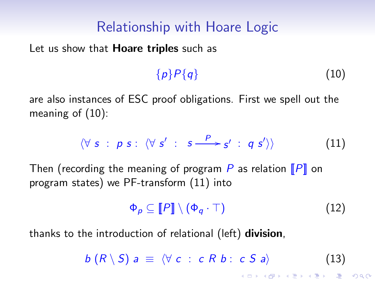### Relationship with Hoare Logic

Let us show that **Hoare triples** such as

<span id="page-6-0"></span>
$$
\{p\}P\{q\}\tag{10}
$$

are also instances of ESC proof obligations. First we spell out the meaning of [\(10\)](#page-6-0):

$$
\langle \forall s : p s : \langle \forall s' : s \xrightarrow{P} s' : q s' \rangle \rangle \tag{11}
$$

Then (recording the meaning of program P as relation  $\llbracket P \rrbracket$  on program states) we PF-transform [\(11\)](#page-6-1) into

<span id="page-6-2"></span><span id="page-6-1"></span>
$$
\Phi_p \subseteq \llbracket P \rrbracket \setminus (\Phi_q \cdot \top) \tag{12}
$$

thanks to the introduction of relational (left) **division**,

$$
b(R \setminus S) a \equiv \langle \forall c : c R b : c S a \rangle \tag{13}
$$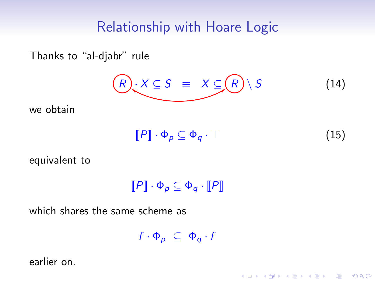#### Relationship with Hoare Logic

Thanks to "al-djabr" rule

$$
(R) \times S \equiv X \subseteq (R) \setminus S \qquad (14)
$$

we obtain

$$
\llbracket P \rrbracket \cdot \Phi_p \subseteq \Phi_q \cdot \top \tag{15}
$$

K ロ ▶ K @ ▶ K 할 > K 할 > 1 할 > 1 이익어

equivalent to

 $\llbracket P \rrbracket \cdot \Phi_{p} \subseteq \Phi_{q} \cdot \llbracket P \rrbracket$ 

which shares the same scheme as

 $f \cdot \Phi_{p} \subseteq \Phi_{q} \cdot f$ 

<span id="page-7-0"></span>earlier on.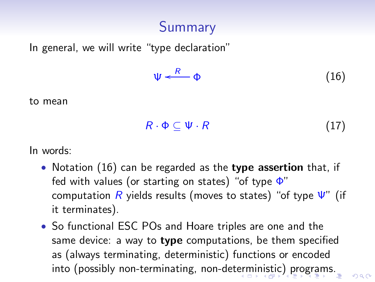# Summary

In general, we will write "type declaration"

<span id="page-8-1"></span>
$$
\Psi \xleftarrow{R} \Phi \tag{16}
$$

to mean

$$
R \cdot \Phi \subseteq \Psi \cdot R \tag{17}
$$

 $0.002$ 

In words:

- Notation [\(16\)](#page-8-1) can be regarded as the type assertion that, if fed with values (or starting on states) "of type  $\Phi$ " computation  $R$  yields results (moves to states) "of type  $\Psi$ " (if it terminates).
- <span id="page-8-0"></span>• So functional ESC POs and Hoare triples are one and the same device: a way to type computations, be them specified as (always terminating, deterministic) functions or encoded into (possibly non-terminating, non-det[erm](#page-7-0)[in](#page-9-0)[i](#page-7-0)[sti](#page-8-0)[c](#page-9-0)[\) p](#page-0-0)[ro](#page-48-0)[gra](#page-0-0)[m](#page-48-0)[s.](#page-0-0)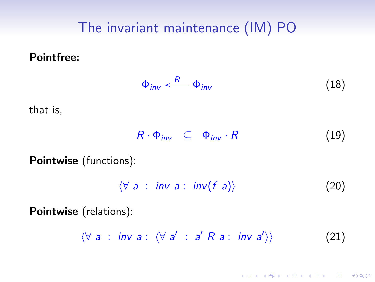# The invariant maintenance (IM) PO

Pointfree:

<span id="page-9-1"></span>
$$
\Phi_{inv} \stackrel{R}{\longleftarrow} \Phi_{inv} \tag{18}
$$

that is,

 $R \cdot \Phi_{inv} \subseteq \Phi_{inv} \cdot R$  (19)

Pointwise (functions):

 $\langle \forall a : inv a : inv(f a) \rangle$  (20)

K ロ X K @ X K 할 X K 할 X ( 할 X ) 이익( V

<span id="page-9-0"></span>Pointwise (relations):

 $\forall a : inv a : \forall a' : a' R a : inv a'$  $(21)$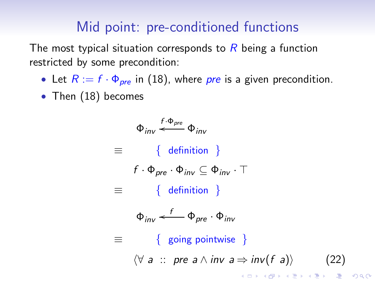#### Mid point: pre-conditioned functions

The most typical situation corresponds to  $R$  being a function restricted by some precondition:

- Let  $R := f \cdot \Phi_{pre}$  in [\(18\)](#page-9-1), where *pre* is a given precondition.
- Then [\(18\)](#page-9-1) becomes

<span id="page-10-0"></span> $\Phi_{inv} \stackrel{f \cdot \Phi_{pre}}{\longleftarrow} \Phi_{inv}$  $\equiv$  { definition }  $f \cdot \Phi_{pre} \cdot \Phi_{inv} \subseteq \Phi_{inv} \cdot \top$ ≡ { definition }  $\Phi_{inv} \stackrel{f}{\longleftarrow} \Phi_{pre} \cdot \Phi_{inv}$  $\equiv$  { going pointwise }  $\forall a :: pre a \land inv a \Rightarrow inv(f a)$  (22) **K ロ ▶ K @ ▶ K 할 X K 할 X - 할 X - 9 Q Q ^**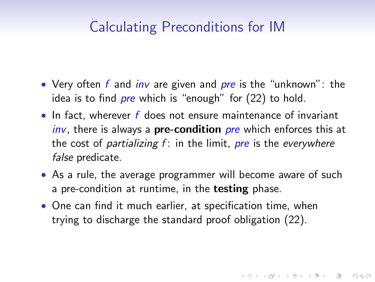## Calculating Preconditions for IM

- Very often  $f$  and *inv* are given and *pre* is the "unknown": the idea is to find *pre* which is "enough" for  $(22)$  to hold.
- In fact, wherever f does not ensure maintenance of invariant inv, there is always a **pre-condition** pre which enforces this at the cost of *partializing*  $f$ : in the limit, *pre* is the *everywhere* false predicate.
- As a rule, the average programmer will become aware of such a pre-condition at runtime, in the **testing** phase.

**K ロ ▶ K @ ▶ K 할 X K 할 X - 할 X - 9 Q Q ^** 

• One can find it much earlier, at specification time, when trying to discharge the standard proof obligation [\(22\)](#page-10-0).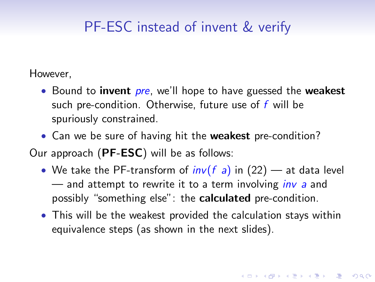## PF-ESC instead of invent & verify

However,

- Bound to **invent** pre, we'll hope to have guessed the **weakest** such pre-condition. Otherwise, future use of  $f$  will be spuriously constrained.
- Can we be sure of having hit the **weakest** pre-condition?

Our approach (PF-ESC) will be as follows:

- We take the PF-transform of  $inv(f a)$  in [\(22\)](#page-10-0) at data level  $-$  and attempt to rewrite it to a term involving *inv a* and possibly "something else": the calculated pre-condition.
- This will be the weakest provided the calculation stays within equivalence steps (as shown in the next slides).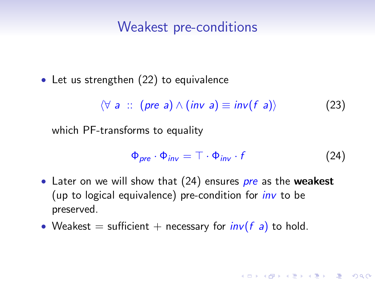#### Weakest pre-conditions

• Let us strengthen [\(22\)](#page-10-0) to equivalence

 $\forall a :: (pre a) \land (inv a) \equiv inv(f a)$  (23)

which PF-transforms to equality

<span id="page-13-1"></span><span id="page-13-0"></span>
$$
\Phi_{pre} \cdot \Phi_{inv} = \top \cdot \Phi_{inv} \cdot f \tag{24}
$$

**ADD 4 REPAIR AND A COA** 

- Later on we will show that  $(24)$  ensures *pre* as the **weakest** (up to logical equivalence) pre-condition for  $inv$  to be preserved.
- Weakest = sufficient + necessary for  $inv(f a)$  to hold.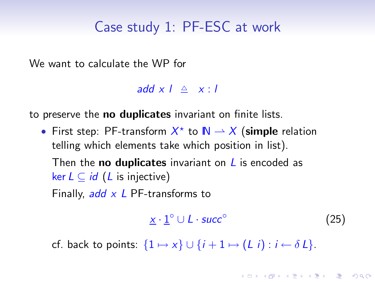### Case study 1: PF-ESC at work

We want to calculate the WP for

add x  $\left| \begin{array}{cc} \triangle & x : I \end{array} \right|$ 

to preserve the **no duplicates** invariant on finite lists.

• First step: PF-transform  $X^*$  to  $\mathbb{N} \to X$  (simple relation telling which elements take which position in list). Then the **no duplicates** invariant on  $\bf{L}$  is encoded as ker  $L ⊂ id$  ( $L$  is injective)

Finally,  $add \times L$  PF-transforms to

<span id="page-14-0"></span>
$$
\underline{x} \cdot \underline{1}^{\circ} \cup L \cdot succ^{\circ} \tag{25}
$$

cf. back to points:  $\{1 \mapsto x\} \cup \{i + 1 \mapsto (L \, i) : i \leftarrow \delta L\}.$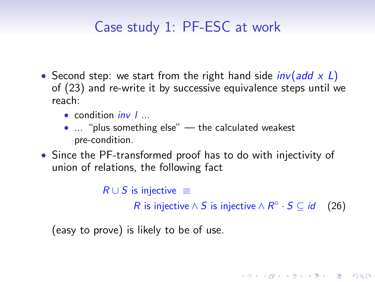# Case study 1: PF-ESC at work

- Second step: we start from the right hand side  $inv(add \times L)$ of [\(23\)](#page-13-1) and re-write it by successive equivalence steps until we reach:
	- $\bullet$  condition *inv*  $\prime$  ...
	- ... "plus something else" the calculated weakest pre-condition.
- Since the PF-transformed proof has to do with injectivity of union of relations, the following fact

```
R \cup S is injective \equivR is injective \wedge S is injective \wedge R<sup>o</sup> · S \subseteq id (26)
```
<span id="page-15-0"></span>**ADD 4 REPAIR AND A COA** 

(easy to prove) is likely to be of use.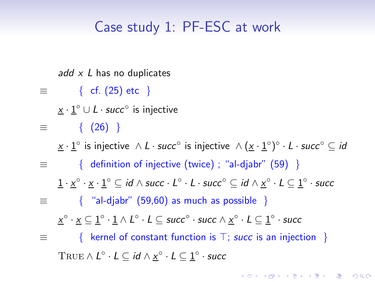## Case study 1: PF-ESC at work

add  $x$  L has no duplicates

- $\equiv$  { cf. [\(25\)](#page-14-0) etc }
	- $\underline{x} \cdot \underline{1}^{\circ} \cup L \cdot succ^{\circ}$  is injective
- $\equiv$  { [\(26\)](#page-15-0) }

 $\underline{x} \cdot \underline{1}^\circ$  is injective  $\wedge$   $L \cdot succ^\circ$  is injective  $\wedge (\underline{x} \cdot \underline{1}^\circ)^\circ \cdot L \cdot succ^\circ \subseteq \mathit{id}$ 

 $\equiv$  { definition of injective (twice) ; "al-djabr" [\(59\)](#page-44-0) }

 $\underline{1}\cdot \underline{x}^\circ \cdot \underline{x} \cdot \underline{1}^\circ \subseteq \mathit{id} \wedge \mathsf{succ} \cdot \mathsf{L}^\circ \cdot \mathsf{L} \cdot \mathsf{succ}^\circ \subseteq \mathit{id} \wedge \underline{x}^\circ \cdot \mathsf{L} \subseteq \underline{1}^\circ \cdot \mathsf{succ}$ 

 $\equiv$  { "al-djabr" [\(59,](#page-44-0)[60\)](#page-44-2) as much as possible }

 $\underline{x}^\circ\cdot \underline{x}\subseteq \underline{1}^\circ\cdot \underline{1}\wedge L^\circ\cdot L\subseteq$  succ $^\circ\cdot$  succ $\wedge \underline{x}^\circ\cdot L\subseteq \underline{1}^\circ\cdot$  succ

≡ { kernel of constant function is ⊤; succ is an injection }  $\text{TRUE} \wedge L^{\circ} \cdot L \subseteq \textit{id} \wedge \underline{x}^{\circ} \cdot L \subseteq \underline{1}^{\circ} \cdot \textit{succ}$ 

**ADD 4 REPAIR AND A COA**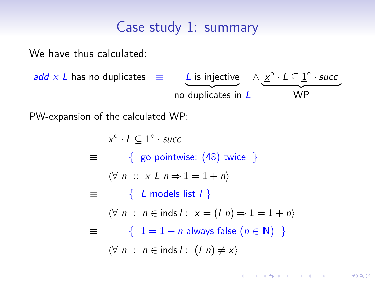#### Case study 1: summary

We have thus calculated:

add x L has no duplicates 
$$
\equiv
$$
 L is injective  
no duplicates in L  $\land \underline{x^{\circ} \cdot L} \subseteq \underline{1^{\circ} \cdot succ}$   
WP

PW-expansion of the calculated WP:

$$
\underline{x}^{\circ} \cdot L \subseteq \underline{1}^{\circ} \cdot \text{succ}
$$
\n
$$
\equiv \{ \text{go pointwise: } (48) \text{ twice } \}
$$
\n
$$
\langle \forall n :: x \ L \ n \Rightarrow 1 = 1 + n \rangle
$$
\n
$$
\equiv \{ \ L \text{ models list } l \}
$$
\n
$$
\langle \forall n : n \in \text{inds } l : x = (l \ n) \Rightarrow 1 = 1 + n \rangle
$$
\n
$$
\equiv \{ 1 = 1 + n \text{ always false } (n \in \mathbb{N}) \}
$$
\n
$$
\langle \forall n : n \in \text{inds } l : (l \ n) \neq x \rangle
$$

K ロ ▶ K 레 ▶ K 코 ▶ K 코 ▶ 『코 │ ◆ 9 Q Q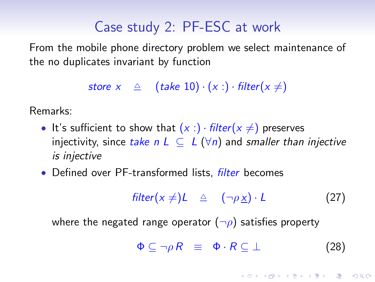## Case study 2: PF-ESC at work

From the mobile phone directory problem we select maintenance of the no duplicates invariant by function

store  $x \triangleq$  (take 10)  $\cdot (x :) \cdot \text{filter}(x \neq)$ 

Remarks:

- It's sufficient to show that  $(x : ) \cdot \textit{filter}(x \neq)$  preserves injectivity, since take n  $L \subseteq L(\forall n)$  and smaller than injective is injective
- Defined over PF-transformed lists, *filter* becomes

<span id="page-18-0"></span>
$$
filter(x \neq) L \quad \triangleq \quad (\neg \rho \underline{x}) \cdot L \tag{27}
$$

where the negated range operator  $(\neg \rho)$  satisfies property

<span id="page-18-1"></span>
$$
\Phi \subseteq \neg \rho \, R \equiv \Phi \cdot R \subseteq \bot \tag{28}
$$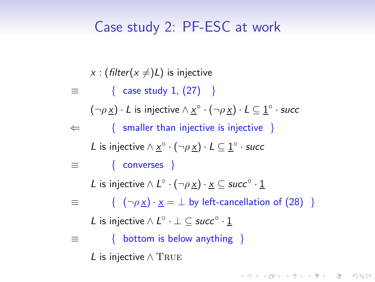### Case study 2: PF-ESC at work

x : (filter( $x \neq$ )L) is injective

 $\equiv$  { case study 1, [\(27\)](#page-18-0) }

 $(\neg \rho \underline{x}) \cdot L$  is injective  $\wedge \underline{x}^{\circ} \cdot (\neg \rho \underline{x}) \cdot L \subseteq \underline{1}^{\circ} \cdot \mathsf{succ}$ 

 $\Leftarrow$  { smaller than injective is injective }

L is injective  $\wedge \underline{x}^{\circ} \cdot (\neg \rho \underline{x}) \cdot L \subseteq \underline{1}^{\circ} \cdot \mathsf{succ}$ 

 $\equiv$  { converses }

L is injective  $\land$  L $^{\circ}$   $\cdot$  ( $\neg \rho \times$ )  $\cdot \times$   $\subseteq$  succ $^{\circ}$   $\cdot$   $\underline{1}$ 

 $\equiv$  {  $(\neg \rho x) \cdot x = \perp$  by left-cancellation of [\(28\)](#page-18-1) }

**ADD 4 REPAIR AND A COA** 

L is injective  $\wedge$   $L^{\circ} \cdot \bot \subseteq succ^{\circ} \cdot \underline{1}$ 

≡ { bottom is below anything }

L is injective  $\wedge$  TRUE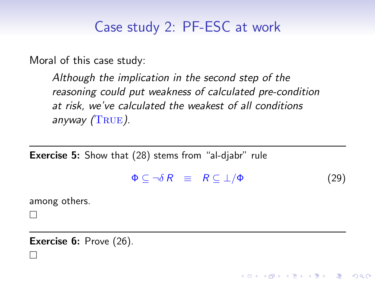## Case study 2: PF-ESC at work

Moral of this case study:

Although the implication in the second step of the reasoning could put weakness of calculated pre-condition at risk, we've calculated the weakest of all conditions anyway  $(TRUE)$ .

Exercise 5: Show that [\(28\)](#page-18-1) stems from "al-diabr" rule

 $\Phi \subseteq \neg \delta \, R \equiv R \subseteq \bot / \Phi$  (29)

**ADD 4 REPAIR AND A COA** 

among others.

 $\Box$ 

 $\Box$ 

**Exercise 6:** Prove [\(26\)](#page-15-0).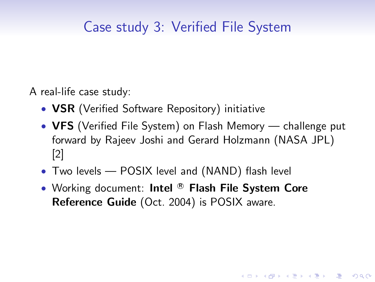A real-life case study:

- **VSR** (Verified Software Repository) initiative
- VFS (Verified File System) on Flash Memory challenge put forward by Rajeev Joshi and Gerard Holzmann (NASA JPL) [\[2\]](#page-48-1)

**ADD 4 REPAIR AND A COA** 

- Two levels POSIX level and (NAND) flash level
- Working document: Intel ® Flash File System Core Reference Guide (Oct. 2004) is POSIX aware.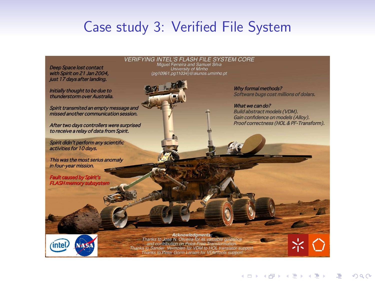Deep Space lost contact with Spirit on 21 Jan 2004. just 17 days after landing.

Initially thought to be due to thunderstorm over Australia.

Spirit transmited an empty message and missed another communication session.

After two days controllers were surprised to receive a relay of data from Spirit.

Spirit didn't perform any scientific activities for 10 days.

This was the most serius anomaly in four-year mission.

Fault caused by Spirit's<br>FLASH memory subsysten

**intel** 

**VERIFYING INTEL'S FLASH FILE SYSTEM CORE** Miguel Ferreira and Samuel Silva<br>Diversity of Minho<br>Diversity of Minho<br>fpa10961.pa11034}@alunos.uminho.pt



Why formal methods? Software bugs cost millions of dolars.

What we can do? **Build abstract models (VDM)** Gain confidence on models (Alloy). Proof correctness (HOL & PF-Transform).

**Acknowledgments** 

Thanks to José N. Oliveira for its valuable quidance and contribution on Point-Free Transformation.<br>Thanks to Sander Vermolen for VDM to HOL translator support. Thanks to Peter Gorm Larsen for VDMTools support

۷ï۹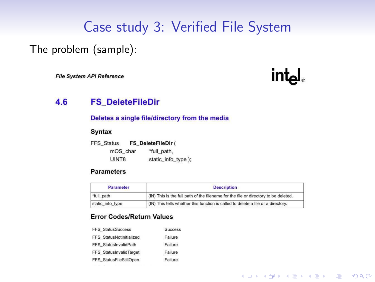#### The problem (sample):

**File System API Reference** 



**YO A REAR SHOP A BY A GAR** 

#### 4.6 **FS\_DeleteFileDir**

#### Deletes a single file/directory from the media

#### **Syntax**

| <b>FFS Status</b> | FS DeleteFileDir ( |  |
|-------------------|--------------------|--|
| mOS char          | *full path.        |  |
| UINT8             | static_info_type); |  |

#### **Parameters**

| <b>Parameter</b> | <b>Description</b>                                                                  |  |
|------------------|-------------------------------------------------------------------------------------|--|
| "full path       | (IN) This is the full path of the filename for the file or directory to be deleted. |  |
| static info type | (IN) This tells whether this function is called to delete a file or a directory.    |  |

#### **Error Codes/Return Values**

| <b>Success</b> |
|----------------|
| Failure        |
| Failure        |
| Failure        |
| Failure        |
|                |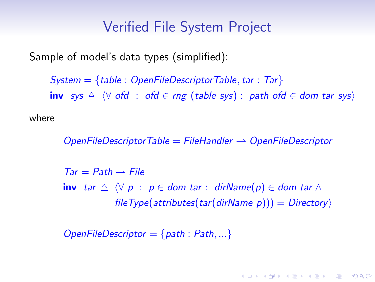<span id="page-24-0"></span>Sample of model's data types (simplified):

 $System = {table : OpenFileDescription}$ Table : OpenFileDescriptorTable, tar : Tar inv sys  $\triangle$   $\forall$  ofd : ofd  $\in$  rng (table sys) : path ofd  $\in$  dom tar sys)

where

 $OpenFileDescription$ Table = FileHandler  $\rightarrow$  OpenFileDescriptor

 $Tar = Path \rightarrow File$ inv tar  $\triangle$   $\forall p : p \in dom$  tar : dirName(p)  $\in dom$  tar  $\wedge$ fileType(attributes(tar(dirName p))) =  $Directory$ 

**ADD 4 REPAIR AND A COA** 

 $OpenFileDescription = {path : Path, ...}$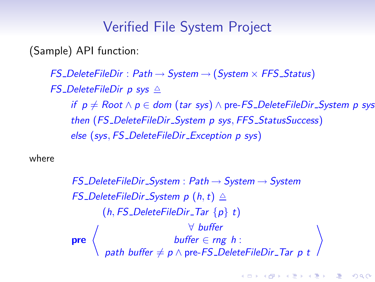(Sample) API function:

 $FS\_DeleteFileDir : Path \rightarrow System \rightarrow (System \times FFS\_Status)$ FS\_DeleteFileDir p sys  $\triangle$ if  $p ≠$  Root  $\land p ∈$  dom (tar sys)  $\land$  pre-FS\_DeleteFileDir\_System p sys then (FS\_DeleteFileDir\_System p sys, FFS\_StatusSuccess) else (sys, FS DeleteFileDir Exception p sys)

where

 $FS\_DeleteFileDir\_System : Path \rightarrow System \rightarrow System$ FS\_DeleteFileDir\_System p  $(h, t) \triangle$  $(h, FS\_DeleteFileDir_Tar \{p\} t)$ pre  $\left\langle \begin{array}{ccc} & & \forall \text{ buffer} \ & & \text{buffer} \in rng \ h \end{array} \right.$  $\setlength{\abovedisplayskip}{12pt} \begin{array}{c} \forall \;\; \textit{buffer} \;\; \\ \textit{buffer} \;\in \; \textit{rng} \;\; \textit{h} : \end{array}$  path buffer  $\neq p \land \textit{pre-FS\_DeleteFileDir\_Tar} \;\; p \; t$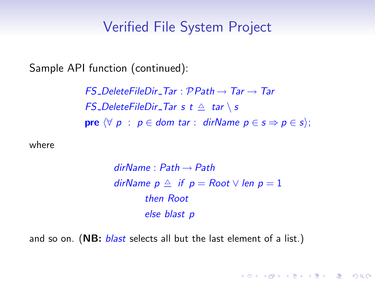Sample API function (continued):

FS DeleteFileDir Tar :  $\mathcal{P}Path \rightarrow Tar \rightarrow Tar$ FS\_DeleteFileDir\_Tar s  $t \triangleq tar \setminus s$ **pre**  $\forall p : p \in dom \, \text{tar} : dimName \, p \in s \Rightarrow p \in s$ ;

where

 $dirName : Path \rightarrow Path$ dirName  $p \triangleq$  if  $p = Root \vee len p = 1$ then Root else blast p

**ADD 4 REPAIR AND A COA** 

and so on. (NB: *blast* selects all but the last element of a list.)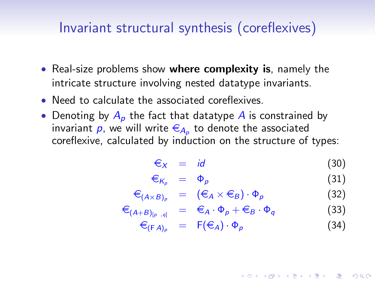#### Invariant structural synthesis (coreflexives)

- Real-size problems show where complexity is, namely the intricate structure involving nested datatype invariants.
- Need to calculate the associated coreflexives.
- Denoting by  $A_n$  the fact that datatype A is constrained by invariant  $p$ , we will write  $\in_{A_p}$  to denote the associated coreflexive, calculated by induction on the structure of types:

$$
\epsilon_X = id \tag{30}
$$

<span id="page-27-0"></span>
$$
\epsilon_{K_p} = \Phi_p \tag{31}
$$

<span id="page-27-1"></span>
$$
\epsilon_{(A \times B)_p} = (\epsilon_A \times \epsilon_B) \cdot \Phi_p \tag{32}
$$

$$
\epsilon_{(A+B)_{[p,q]}} = \epsilon_A \cdot \Phi_p + \epsilon_B \cdot \Phi_q \tag{33}
$$

$$
\epsilon_{(FA)_p} = F(\epsilon_A) \cdot \Phi_p \tag{34}
$$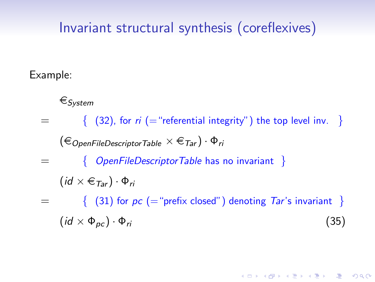#### Invariant structural synthesis (coreflexives)

#### Example:

 $\in$ System

<span id="page-28-0"></span> $=$  { [\(32\)](#page-27-0), for ri (= "referential integrity") the top level inv. }  $(\epsilon_{\text{OpenFileDescription}} \times \epsilon_{\text{Tar}}) \cdot \Phi_{\text{ri}}$ { OpenFileDescriptorTable has no invariant }  $(id \times \epsilon_{Tar}) \cdot \Phi_{ri}$  $=$  { [\(31\)](#page-27-1) for  $pc$  (= "prefix closed") denoting Tar's invariant }  $(id \times \Phi_{\text{nc}}) \cdot \Phi_{\text{ri}}$  (35)

**ADD 4 REPAIR AND A COA**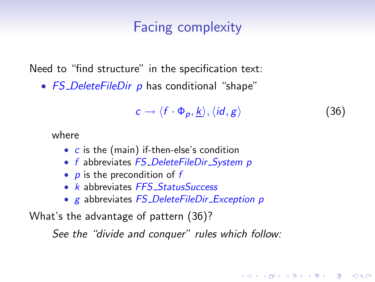#### Facing complexity

Need to "find structure" in the specification text:

• FS\_DeleteFileDir p has conditional "shape"

<span id="page-29-0"></span>
$$
c \to \langle f \cdot \Phi_p, \underline{k} \rangle, \langle id, g \rangle \tag{36}
$$

**ADD 4 REPAIR AND A COA** 

where

- c is the (main) if-then-else's condition
- f abbreviates FS\_DeleteFileDir\_System p
- $p$  is the precondition of  $f$
- k abbreviates FFS\_StatusSuccess
- g abbreviates FS\_DeleteFileDir\_Exception p

What's the advantage of pattern [\(36\)](#page-29-0)?

See the "divide and conquer" rules which follow: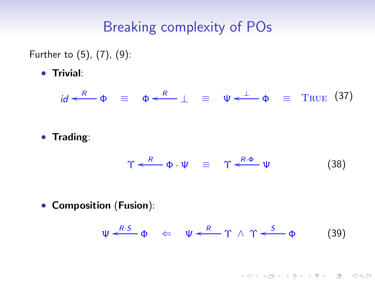Further to [\(5\)](#page-4-2), [\(7\)](#page-5-0), [\(9\)](#page-5-1):

• Trivial:

 $id \xleftarrow{R} \Phi \equiv \Phi \xleftarrow{R} \perp \equiv \Psi \xleftarrow{\perp} \Phi \equiv \text{True}$  (37)

• Trading:

<span id="page-30-1"></span><span id="page-30-0"></span>
$$
\Upsilon \xleftarrow{R} \Phi \cdot \Psi \equiv \Upsilon \xleftarrow{R \cdot \Phi} \Psi \qquad (38)
$$

• Composition (Fusion):

$$
\Psi \xleftarrow{R \cdot S} \Phi \quad \Leftarrow \quad \Psi \xleftarrow{R} \Upsilon \wedge \Upsilon \xleftarrow{S} \Phi \qquad (39)
$$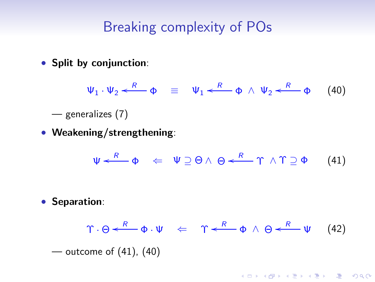• Split by conjunction:

<span id="page-31-1"></span> $\Psi_1 \cdot \Psi_2 \stackrel{R}{\longleftarrow} \Phi \equiv \Psi_1 \stackrel{R}{\longleftarrow} \Phi \wedge \Psi_2 \stackrel{R}{\longleftarrow} \Phi$  (40)

- generalizes [\(7\)](#page-5-0)
- Weakening/strengthening:

<span id="page-31-2"></span><span id="page-31-0"></span>
$$
\Psi \xleftarrow{R} \Phi \quad \Leftarrow \quad \Psi \supseteq \Theta \land \Theta \xleftarrow{R} \Upsilon \land \Upsilon \supseteq \Phi \qquad (41)
$$

• Separation:

$$
\Upsilon \cdot \Theta \leftarrow R \quad \Phi \cdot \Psi \quad \Leftarrow \quad \Upsilon \leftarrow R \quad \Phi \land \Theta \leftarrow R \quad \Psi \quad (42)
$$
\n
$$
\text{-\noutcome of (41), (40)}
$$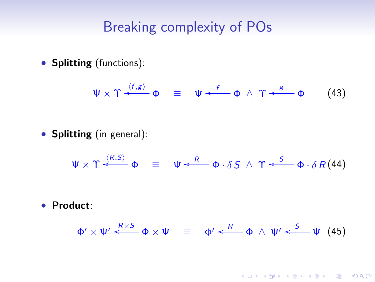• Splitting (functions):

<span id="page-32-1"></span><span id="page-32-0"></span>
$$
\Psi \times \Upsilon \xleftarrow{\langle f,g \rangle} \Phi \equiv \Psi \xleftarrow{f} \Phi \wedge \Upsilon \xleftarrow{g} \Phi \qquad (43)
$$

• Splitting (in general):

 $\Psi \times \Upsilon \stackrel{\langle R,S \rangle}{\longleftarrow} \Phi \equiv \Psi \stackrel{R}{\longleftarrow} \Phi \cdot \delta S \wedge \Upsilon \stackrel{S}{\longleftarrow} \Phi \cdot \delta R(44)$ 

• Product:

$$
\Phi' \times \Psi' \stackrel{R \times S}{\longleftarrow} \Phi \times \Psi \equiv \Phi' \stackrel{R}{\longleftarrow} \Phi \wedge \Psi' \stackrel{S}{\longleftarrow} \Psi \quad (45)
$$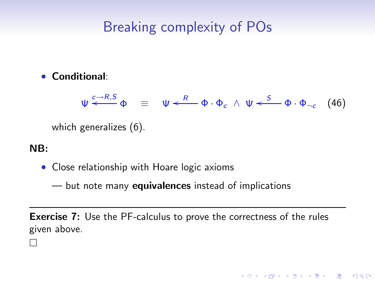#### • Conditional:

 $\Psi \stackrel{c \to R,S}{\longleftarrow} \Phi \equiv \Psi \stackrel{R}{\longleftarrow} \Phi \cdot \Phi_c \wedge \Psi \stackrel{S}{\longleftarrow} \Phi \cdot \Phi_{\neg c}$  (46)

<span id="page-33-0"></span>**ADD 4 REPAIR AND A COA** 

which generalizes [\(6\)](#page-5-2).

#### NB:

 $\mathbf{I}$ 

• Close relationship with Hoare logic axioms

— but note many **equivalences** instead of implications

**Exercise 7:** Use the PF-calculus to prove the correctness of the rules given above.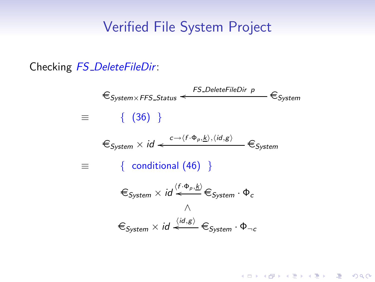Checking FS\_DeleteFileDir:

$$
\epsilon_{System \times FFS\_Status} \leftarrow \epsilon_{System} \epsilon_{System}
$$
\n
$$
\equiv \{ (36) \}
$$
\n
$$
\epsilon_{System} \times id \leftarrow \epsilon_{\neg \langle f \cdot \Phi_p, \underline{k} \rangle, \langle id, g \rangle} \epsilon_{System}
$$
\n
$$
\equiv \{ \text{conditional } (46) \}
$$
\n
$$
\epsilon_{System} \times id \leftarrow \epsilon_{System} \cdot \Phi_c
$$
\n
$$
\epsilon_{System} \times id \leftarrow \epsilon_{System} \cdot \Phi_c
$$
\n
$$
\epsilon_{System} \times id \leftarrow \epsilon_{System} \cdot \Phi_{\neg c}
$$

K ロ ▶ K 레 ▶ K 코 ▶ K 코 ▶ 『코 │ ◆ 9 Q Q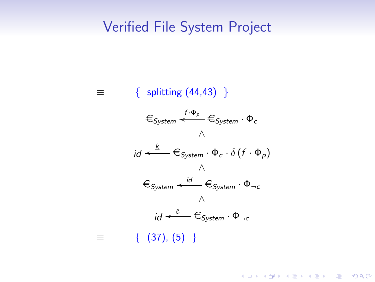

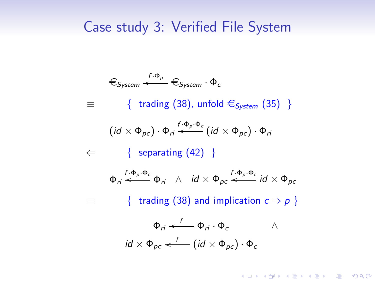$$
\epsilon_{System} \leftarrow f \cdot \Phi_{p}
$$
\n
$$
\equiv \{ \text{ trading } (38), \text{unfold } \epsilon_{System} (35) \}
$$
\n
$$
\equiv \{ \text{ trading } (38), \text{unfold } \epsilon_{System} (35) \}
$$
\n
$$
\leftarrow \{ \text{ separating } (42) \}
$$
\n
$$
\Phi_{ri} \leftarrow f \cdot \Phi_{p} \cdot \Phi_{c}
$$
\n
$$
\Phi_{ri} \leftarrow f \cdot \Phi_{p} \cdot \Phi_{c}
$$
\n
$$
\Phi_{ri} \leftarrow f \cdot \Phi_{p} \cdot \Phi_{c}
$$
\n
$$
\equiv \{ \text{ trading } (38) \text{ and implication } c \Rightarrow p \}
$$
\n
$$
\Phi_{ri} \leftarrow f \cdot \Phi_{pi} \cdot \Phi_{c}
$$
\n
$$
\Phi_{ri} \leftarrow f \cdot \Phi_{pi} \cdot \Phi_{c}
$$
\n
$$
\Phi_{ri} \leftarrow f \cdot \Phi_{pi} \cdot \Phi_{c}
$$
\n
$$
\Phi_{p} \leftarrow f \cdot \Phi_{p} \cdot \Phi_{p} \cdot \Phi_{c}
$$

K ロ ▶ K 레 ▶ K 코 ▶ K 코 ▶ 『코 │ ◆ 9 Q Q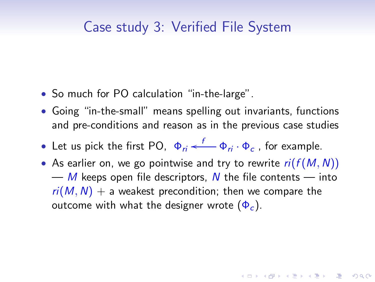- So much for PO calculation "in-the-large".
- Going "in-the-small" means spelling out invariants, functions and pre-conditions and reason as in the previous case studies
- Let us pick the first PO,  $\phi_{ri} \stackrel{f}{\longleftarrow} \phi_{ri} \cdot \phi_c$ , for example.
- As earlier on, we go pointwise and try to rewrite  $ri(f(M, N))$ — M keeps open file descriptors, N the file contents — into  $ri(M, N)$  + a weakest precondition; then we compare the outcome with what the designer wrote  $(\Phi_c)$ .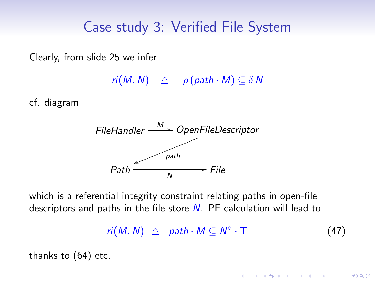Clearly, from slide [25](#page-24-0) we infer

 $ri(M, N) \triangleq \rho (path \cdot M) \subseteq \delta N$ 

cf. diagram



which is a referential integrity constraint relating paths in open-file descriptors and paths in the file store  $N$ . PF calculation will lead to

> <span id="page-38-0"></span> $ri(M, N) \triangleq path \cdot M \subseteq N^{\circ}$  $(47)$

> > **ADD 4 REPAIR AND A COA**

thanks to [\(64\)](#page-45-0) etc.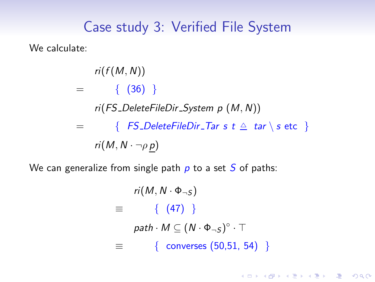We calculate:

 $ri(f(M, N))$  $=$  {  $(36)$ } ri(FS DeleteFileDir System p (M, N))  $=$  {  $FS\_DeleteFileDir\_Tar \; s \; t \; \triangleq \; tar \; \setminus \; s \; \text{etc}$  }  $ri(M, N \cdot \neg \rho p)$ 

We can generalize from single path  $p$  to a set  $S$  of paths:

 $ri(M, N \cdot \Phi_{\neg S})$  $\equiv$  { [\(47\)](#page-38-0) }  $path \cdot M \subseteq (N \cdot \Phi_{\neg S})^{\circ} \cdot \top$ ≡ { converses [\(50,](#page-42-1)[51,](#page-42-2) [54\)](#page-43-0) }

**YO A REAR OF YOUR**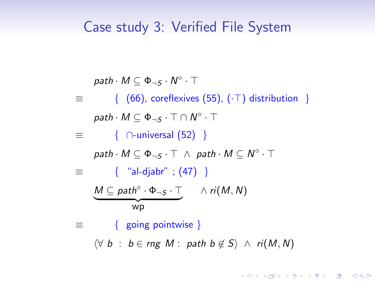$path \cdot M \subseteq \Phi_{\neg S} \cdot N^{\circ} \cdot \top$  $\equiv$  { [\(66\)](#page-45-1), coreflexives [\(55\)](#page-43-1), ( $\cdot$ T) distribution }  $\mathsf{path} \cdot \mathsf{M} \subseteq \Phi_{\neg \mathsf{S}} \cdot \top \cap \mathsf{N}^\circ \cdot \top$  $\equiv$  {  $\cap$ -universal [\(52\)](#page-43-2) }  $path \cdot M \subseteq \Phi_{\neg S} \cdot \top \ \wedge \ path \cdot M \subseteq N^{\circ} \cdot \top$  $\equiv$  { "al-djabr" ; [\(47\)](#page-38-0) }  $M \subseteq path^\circ \cdot \Phi_{\neg S} \cdot \top$   $\wedge ri(M, N)$  ${\overline{\bf x}}$   ${\overline{\bf x}}$   ${\overline{\bf x}}$ ≡ { going pointwise }  $\forall b : b \in rng M : path b \notin S$  ∧ ri(M, N)

**YO A REAR OF YOUR**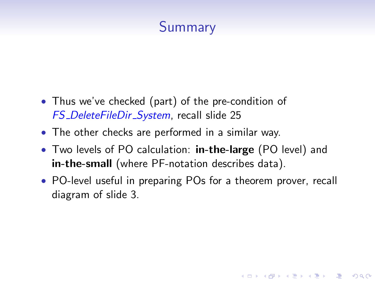# **Summary**

- Thus we've checked (part) of the pre-condition of FS DeleteFileDir System, recall slide [25](#page-24-0)
- The other checks are performed in a similar way.
- Two levels of PO calculation: **in-the-large** (PO level) and in-the-small (where PF-notation describes data).
- PO-level useful in preparing POs for a theorem prover, recall diagram of slide [3.](#page-2-0)

**YO A REAR OF YOUR**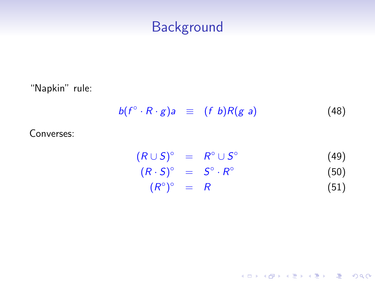"Napkin" rule:

$$
b(f^{\circ}\cdot R\cdot g)a \equiv (f\;b)R(g\;a) \qquad (48)
$$

Converses:

<span id="page-42-2"></span><span id="page-42-1"></span><span id="page-42-0"></span>
$$
(R \cup S)^{\circ} = R^{\circ} \cup S^{\circ}
$$
  
\n
$$
(R \cdot S)^{\circ} = S^{\circ} \cdot R^{\circ}
$$
  
\n
$$
(R^{\circ})^{\circ} = R
$$
  
\n(50)  
\n(51)

K ロ ▶ K 레 ▶ K 코 ▶ K 코 ▶ 『코 │ ◆ 9 Q Q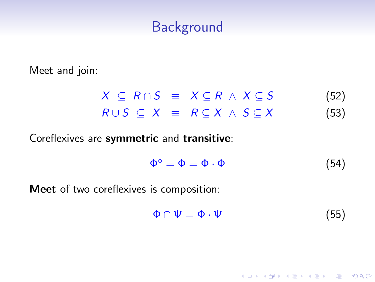Meet and join:

$$
X \subseteq R \cap S \equiv X \subseteq R \land X \subseteq S \qquad (52)
$$
  

$$
R \cup S \subseteq X \equiv R \subseteq X \land S \subseteq X \qquad (53)
$$

Coreflexives are symmetric and transitive:

<span id="page-43-2"></span><span id="page-43-0"></span>
$$
\Phi^{\circ} = \Phi = \Phi \cdot \Phi \tag{54}
$$

Meet of two coreflexives is composition:

<span id="page-43-1"></span>
$$
\Phi \cap \Psi = \Phi \cdot \Psi \tag{55}
$$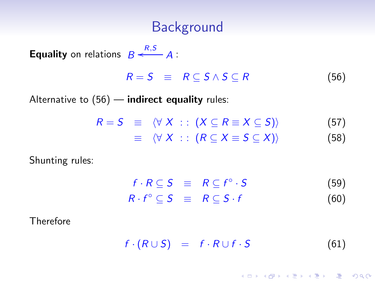**Equality** on relations  $B \xleftarrow{R,S} A$ :

<span id="page-44-3"></span>
$$
R = S \equiv R \subseteq S \wedge S \subseteq R \tag{56}
$$

Alternative to  $(56)$  — indirect equality rules:

$$
R = S \equiv \langle \forall X : : (X \subseteq R \equiv X \subseteq S) \rangle
$$
 (57)  

$$
\equiv \langle \forall X : : (R \subseteq X \equiv S \subseteq X) \rangle
$$
 (58)

Shunting rules:

<span id="page-44-4"></span><span id="page-44-2"></span><span id="page-44-0"></span>

| $f \cdot R \subseteq S \equiv R \subseteq f^{\circ} \cdot S$ |  | (59) |
|--------------------------------------------------------------|--|------|
| $R \cdot f^{\circ} \subseteq S \equiv R \subseteq S \cdot f$ |  | (60) |

Therefore

<span id="page-44-1"></span>
$$
f \cdot (R \cup S) = f \cdot R \cup f \cdot S \tag{61}
$$

K □ ▶ K @ ▶ K 할 ▶ K 할 ▶ ( 할 ) 1000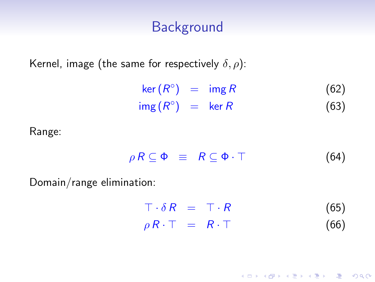Kernel, image (the same for respectively  $\delta, \rho$ ):

 $\ker(R^{\circ}) = \operatorname{img} R$  (62)  $\operatorname{img}(R^{\circ}) = \ker R$  (63)

Range:

<span id="page-45-0"></span>
$$
\rho R \subseteq \Phi \equiv R \subseteq \Phi \cdot \top \tag{64}
$$

Domain/range elimination:

<span id="page-45-1"></span> $\top \cdot \delta R = \top \cdot R$  (65)  $\rho R \cdot \top = R \cdot \top$  (66)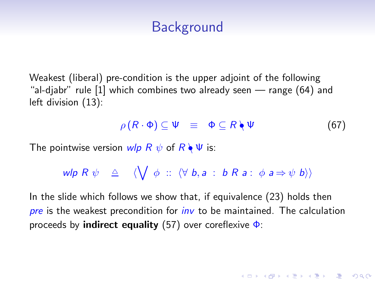Weakest (liberal) pre-condition is the upper adjoint of the following "al-djabr" rule [\[1\]](#page-48-2) which combines two already seen — range [\(64\)](#page-45-0) and left division [\(13\)](#page-6-2):

<span id="page-46-0"></span>
$$
\rho(R \cdot \Phi) \subseteq \Psi \equiv \Phi \subseteq R \setminus \Psi \tag{67}
$$

**ADD 4 REPAIR AND A COA** 

The pointwise version wlp  $R \psi$  of  $R \setminus \Psi$  is:

$$
\mathsf{wlp}\;R\;\psi\quad\triangleq\quad\langle\bigvee\;\phi\;::\;\langle\forall\;b,a\;:\;b\;R\;a\;:\;\phi\;a\Rightarrow\psi\;b\rangle\rangle
$$

In the slide which follows we show that, if equivalence [\(23\)](#page-13-1) holds then pre is the weakest precondition for  $inv$  to be maintained. The calculation proceeds by **indirect equality** [\(57\)](#page-44-4) over coreflexive  $\Phi$ :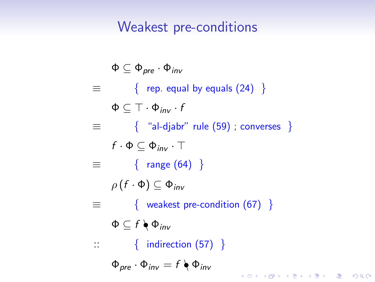### Weakest pre-conditions

$$
\Phi \subseteq \Phi_{pre} \cdot \Phi_{inv}
$$
\n
$$
\equiv \begin{cases}\n\text{ rep. equal by equals (24)} \\
\Phi \subseteq \top \cdot \Phi_{inv} \cdot f \\
\equiv \begin{cases}\n\text{``a-lajabr'' rule (59); converses }\n\end{cases} \\
f \cdot \Phi \subseteq \Phi_{inv} \cdot \top \\
\equiv \begin{cases}\n\text{range (64)} \\
\rho(f \cdot \Phi) \subseteq \Phi_{inv} \\
\text{weakest pre-condition (67)}\n\end{cases} \\
\Phi \subseteq f \setminus \Phi_{inv} \\
\therefore \begin{cases}\n\text{indirection (57)}\n\end{cases} \\
\Phi_{pre} \cdot \Phi_{inv} = f \setminus \Phi_{inv} \\
\equiv \text{var}(S) \cdot \Phi_{inv} \\
\equiv \text{var}(S) \cdot \Phi_{inv} \\
\equiv \text{var}(S) \cdot \Phi_{inv} \\
\equiv \text{var}(S) \cdot \Phi_{inv} \\
\equiv \text{var}(S) \cdot \Phi_{inv} \\
\equiv \text{var}(S) \cdot \Phi_{inv} \\
\equiv \text{var}(S) \cdot \Phi_{inv} \\
\equiv \text{var}(S) \cdot \Phi_{inv} \\
\equiv \text{var}(S) \cdot \Phi_{inv} \\
\equiv \text{var}(S) \cdot \Phi_{inv} \\
\equiv \text{var}(S) \cdot \Phi_{inv} \\
\equiv \text{var}(S) \cdot \Phi_{inv} \\
\equiv \text{var}(S) \cdot \Phi_{inv} \\
\equiv \text{var}(S) \cdot \Phi_{inv} \\
\equiv \text{var}(S) \cdot \Phi_{inv} \\
\equiv \text{var}(S) \cdot \Phi_{inv} \\
\equiv \text{var}(S) \cdot \Phi_{inv} \\
\equiv \text{var}(S) \cdot \Phi_{inv} \\
\equiv \text{var}(S) \cdot \Phi_{inv} \\
\equiv \text{var}(S) \cdot \Phi_{inv} \\
\equiv \text{var}(S) \cdot \Phi_{inv} \\
\equiv \text{var}(S) \cdot \Phi_{inv} \\
\equiv \text{var}(S) \cdot \Phi_{inv} \\
\equiv \text{var}(S) \cdot \Phi_{inv} \\
\equiv \text{var}(S) \cdot \Phi_{inv} \\
\equiv \text{var}(S) \cdot \Phi_{inv} \\
\equiv \text{var}(S) \cdot \Phi_{inv} \\
\equiv \text{var}(S) \cdot \Phi_{inv} \\
\equiv \text{var}(S) \cdot \Phi_{inv} \\
\equiv \text{var}(S) \cdot \Phi_{inv} \\
\equiv \text{var}(S) \cdot \Phi_{inv} \\
\equiv \text{var
$$